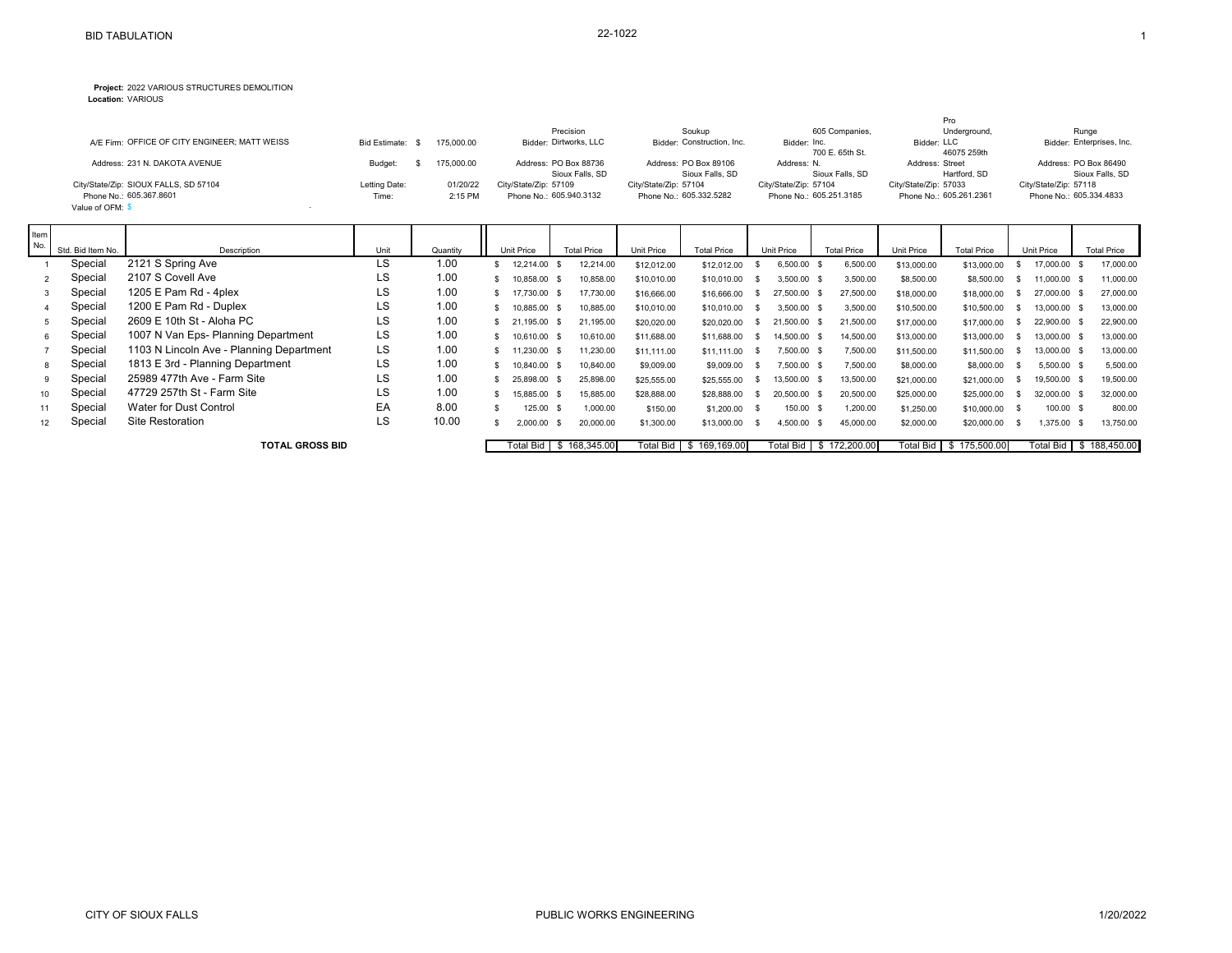## **Project:** 2022 VARIOUS STRUCTURES DEMOLITION

**Location:** VARIOUS

| A/E Firm: OFFICE OF CITY ENGINEER: MATT WEISS                                        | <b>Bid Estimate:</b>   | 175,000.00          | Precision<br>Bidder: Dirtworks, LLC              | Soukup<br>Bidder: Construction, Inc.             | 605 Companies.<br>Bidder: Inc.<br>700 E. 65th St. | Pro<br>Underground,<br>Bidder: LLC<br>46075 259th | Runge<br>Bidder: Enterprises, Inc.               |  |
|--------------------------------------------------------------------------------------|------------------------|---------------------|--------------------------------------------------|--------------------------------------------------|---------------------------------------------------|---------------------------------------------------|--------------------------------------------------|--|
| Address: 231 N. DAKOTA AVENUE                                                        | Budget:                | 175,000.00          | Address: PO Box 88736<br>Sioux Falls, SD         | Address: PO Box 89106<br>Sioux Falls, SD         | Address: N.<br>Sioux Falls, SD                    | Address: Street<br>Hartford, SD                   | Address: PO Box 86490<br>Sioux Falls, SD         |  |
| City/State/Zip: SIOUX FALLS, SD 57104<br>Phone No.: 605.367.8601<br>Value of OFM: \$ | Letting Date:<br>Time: | 01/20/22<br>2:15 PM | City/State/Zip: 57109<br>Phone No.: 605.940.3132 | City/State/Zip: 57104<br>Phone No.: 605.332.5282 | City/State/Zip: 57104<br>Phone No.: 605.251.3185  | City/State/Zip: 57033<br>Phone No.: 605.261.2361  | City/State/Zip: 57118<br>Phone No.: 605.334.4833 |  |

| Item |                   |                                          |      |          |            |              |                           |             |                        |      |                           |                    |           |             |                           |      |                         |                    |
|------|-------------------|------------------------------------------|------|----------|------------|--------------|---------------------------|-------------|------------------------|------|---------------------------|--------------------|-----------|-------------|---------------------------|------|-------------------------|--------------------|
| No.  | Std. Bid Item No. | Description                              | Unit | Quantity | Unit Price |              | <b>Total Price</b>        | Unit Price  | <b>Total Price</b>     |      | Unit Price                | <b>Total Price</b> |           | Unit Price  | <b>Total Price</b>        |      | Unit Price              | <b>Total Price</b> |
|      | Special           | 2121 S Spring Ave                        | LS   | 1.00     |            | 12,214.00    | 12.214.00                 | \$12,012.00 | \$12,012.00            |      | 6,500.00                  | - 86               | 6,500.00  | \$13,000.00 | \$13,000.00               |      | 17,000.00 \$            | 17,000.00          |
|      | Special           | 2107 S Covell Ave                        | LS   | 1.00     |            | 10,858.00 \$ | 10,858.00                 | \$10,010.00 | \$10,010.00            |      | 3,500.00 \$               |                    | 3,500.00  | \$8,500.00  | \$8,500.00                |      | 11,000.00 \$            | 11,000.00          |
|      | Special           | 1205 E Pam Rd - 4plex                    | LS   | 1.00     |            | 17,730.00 \$ | 17,730.00                 | \$16,666.00 | \$16,666.00            |      | 27,500.00 \$              |                    | 27,500.00 | \$18,000.00 | \$18,000.00               |      | 27,000.00 \$            | 27,000.00          |
|      | Special           | 1200 E Pam Rd - Duplex                   | LS   | 1.00     |            | 10,885.00 \$ | 10,885.00                 | \$10,010.00 | \$10,010.00            | - 55 | 3,500.00 \$               |                    | 3,500.00  | \$10,500.00 | \$10,500.00               |      | 13,000.00 \$            | 13,000.00          |
|      | Special           | 2609 E 10th St - Aloha PC                | LS   | 1.00     |            | 21,195.00 \$ | 21,195.00                 | \$20,020.00 | \$20,020.00            | -SS  | 21,500.00 \$              |                    | 21,500.00 | \$17,000.00 | \$17,000.00               |      | 22,900.00 \$            | 22,900.00          |
| 6    | Special           | 1007 N Van Eps- Planning Department      | LS   | 1.00     |            | 10,610.00 \$ | 10.610.00                 | \$11,688.00 | \$11,688.00            | - SS | 14.500.00 \$              |                    | 14,500.00 | \$13,000.00 | \$13,000.00               |      | 13,000.00 \$            | 13,000.00          |
|      | Special           | 1103 N Lincoln Ave - Planning Department | LS   | 1.00     |            | 11,230.00 \$ | 11,230.00                 | \$11,111.00 | \$11,111.00            |      | 7,500.00 \$               |                    | 7,500.00  | \$11,500.00 | \$11,500.00               |      | 13,000.00 \$            | 13,000.00          |
| 8    | Special           | 1813 E 3rd - Planning Department         | LS   | 1.00     |            | 10,840.00 \$ | 10,840.00                 | \$9,009.00  | \$9,009.00             | - SS | 7,500.00 \$               |                    | 7,500.00  | \$8,000.00  | \$8,000.00                | - \$ | 5,500.00 \$             | 5,500.00           |
| 9    | Special           | 25989 477th Ave - Farm Site              | LS   | 1.00     |            | 25.898.00 \$ | 25.898.00                 | \$25,555.00 | \$25,555.00            | - 55 | 13.500.00 \$              |                    | 13,500.00 | \$21,000.00 | \$21,000.00               |      | 19,500.00 \$            | 19,500.00          |
| 10   | Special           | 47729 257th St - Farm Site               | LS   | 1.00     |            | 15,885.00 \$ | 15,885.00                 | \$28,888.00 | \$28,888.00            | - SS | 20,500.00 \$              |                    | 20,500.00 | \$25,000.00 | \$25,000.00               |      | 32,000.00 \$            | 32,000.00          |
| 11   | Special           | Water for Dust Control                   | EA   | 8.00     |            | 125.00 \$    | 1.000.00                  | \$150.00    | \$1,200.00             | - SS | 150.00 \$                 |                    | .200.00   | \$1,250.00  | \$10,000.00               | - \$ | 100.00 \$               | 800.00             |
|      | Special           | Site Restoration                         | LS   | 10.00    |            | 2.000.00     | 20,000.00                 | \$1,300.00  | \$13,000.00            |      | 4,500.00                  | - \$               | 45,000.00 | \$2,000.00  | \$20,000.00               |      | 375.00 \$               | 13,750.00          |
|      |                   | <b>TOTAL GROSS BID</b>                   |      |          |            |              | Total Bid   \$ 168,345.00 |             | Total Bid 5 169.169.00 |      | Total Bid   \$ 172,200.00 |                    |           |             | Total Bid   \$ 175,500.00 |      | Total Bid \$ 188,450.00 |                    |